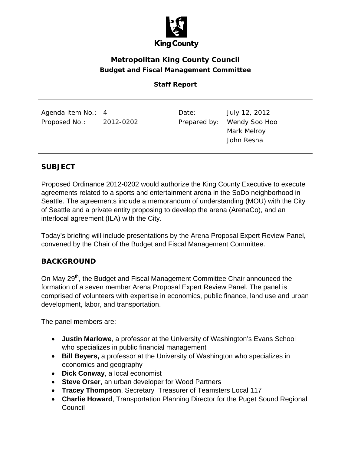

# **Metropolitan King County Council Budget and Fiscal Management Committee**

## **Staff Report**

| Agenda item No.: 4<br>2012-0202<br>Proposed No.: | Date: | July 12, 2012<br>Prepared by: Wendy Soo Hoo<br>Mark Melroy<br>John Resha |
|--------------------------------------------------|-------|--------------------------------------------------------------------------|
|--------------------------------------------------|-------|--------------------------------------------------------------------------|

## **SUBJECT**

Proposed Ordinance 2012-0202 would authorize the King County Executive to execute agreements related to a sports and entertainment arena in the SoDo neighborhood in Seattle. The agreements include a memorandum of understanding (MOU) with the City of Seattle and a private entity proposing to develop the arena (ArenaCo), and an interlocal agreement (ILA) with the City.

Today's briefing will include presentations by the Arena Proposal Expert Review Panel, convened by the Chair of the Budget and Fiscal Management Committee.

#### **BACKGROUND**

On May 29<sup>th</sup>, the Budget and Fiscal Management Committee Chair announced the formation of a seven member Arena Proposal Expert Review Panel. The panel is comprised of volunteers with expertise in economics, public finance, land use and urban development, labor, and transportation.

The panel members are:

- **Justin Marlowe**, a professor at the University of Washington's Evans School who specializes in public financial management
- **Bill Beyers,** a professor at the University of Washington who specializes in economics and geography
- **Dick Conway**, a local economist
- **Steve Orser**, an urban developer for Wood Partners
- **Tracey Thompson**, Secretary Treasurer of Teamsters Local 117
- **Charlie Howard**, Transportation Planning Director for the Puget Sound Regional Council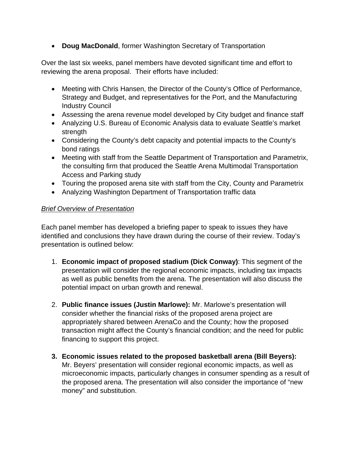**Doug MacDonald**, former Washington Secretary of Transportation

Over the last six weeks, panel members have devoted significant time and effort to reviewing the arena proposal. Their efforts have included:

- Meeting with Chris Hansen, the Director of the County's Office of Performance, Strategy and Budget, and representatives for the Port, and the Manufacturing Industry Council
- Assessing the arena revenue model developed by City budget and finance staff
- Analyzing U.S. Bureau of Economic Analysis data to evaluate Seattle's market strength
- Considering the County's debt capacity and potential impacts to the County's bond ratings
- Meeting with staff from the Seattle Department of Transportation and Parametrix, the consulting firm that produced the Seattle Arena Multimodal Transportation Access and Parking study
- Touring the proposed arena site with staff from the City, County and Parametrix
- Analyzing Washington Department of Transportation traffic data

#### *Brief Overview of Presentation*

Each panel member has developed a briefing paper to speak to issues they have identified and conclusions they have drawn during the course of their review. Today's presentation is outlined below:

- 1. **Economic impact of proposed stadium (Dick Conway)**: This segment of the presentation will consider the regional economic impacts, including tax impacts as well as public benefits from the arena. The presentation will also discuss the potential impact on urban growth and renewal.
- 2. **Public finance issues (Justin Marlowe):** Mr. Marlowe's presentation will consider whether the financial risks of the proposed arena project are appropriately shared between ArenaCo and the County; how the proposed transaction might affect the County's financial condition; and the need for public financing to support this project.
- **3. Economic issues related to the proposed basketball arena (Bill Beyers):** Mr. Beyers' presentation will consider regional economic impacts, as well as microeconomic impacts, particularly changes in consumer spending as a result of the proposed arena. The presentation will also consider the importance of "new money" and substitution.